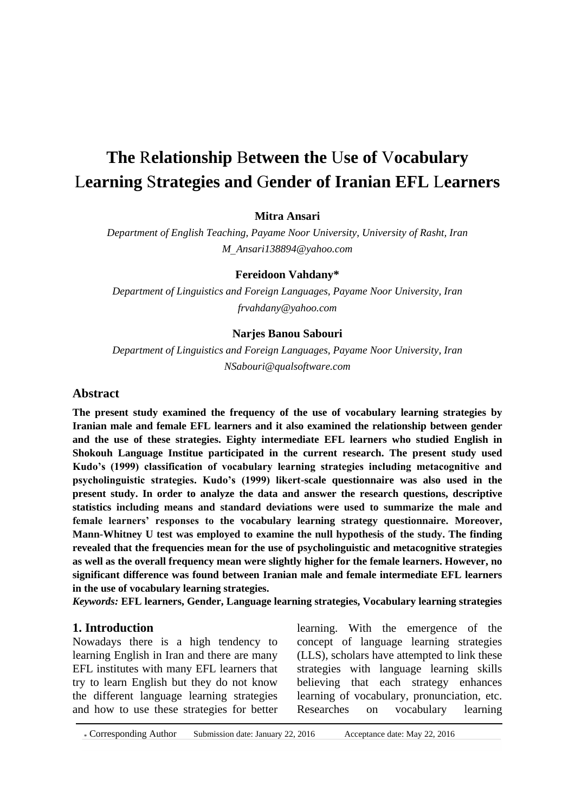# **The** R**elationship** B**etween the** U**se of** V**ocabulary** L**earning** S**trategies and** G**ender of Iranian EFL** L**earners**

## **Mitra Ansari**

*Department of English Teaching, Payame Noor University, University of Rasht, Iran M*\_*[Ansari138894@yahoo.com](mailto:M_Ansari138894@yahoo.com)*

#### **Fereidoon Vahdany\***

*Department of Linguistics and Foreign Languages, Payame Noor University, Iran [frvahdany@yahoo.com](mailto:frvahdany@yahoo.com)*

#### **Narjes Banou Sabouri**

*Department of Linguistics and Foreign Languages, Payame Noor University, Iran [NSabouri@qualsoftware.com](mailto:NSabouri@qualsoftware.com)*

#### **Abstract**

**The present study examined the frequency of the use of vocabulary learning strategies by Iranian male and female EFL learners and it also examined the relationship between gender and the use of these strategies. Eighty intermediate EFL learners who studied English in Shokouh Language Institue participated in the current research. The present study used Kudo's (1999) classification of vocabulary learning strategies including metacognitive and psycholinguistic strategies. Kudo's (1999) likert-scale questionnaire was also used in the present study. In order to analyze the data and answer the research questions, descriptive statistics including means and standard deviations were used to summarize the male and female learners' responses to the vocabulary learning strategy questionnaire. Moreover, Mann-Whitney U test was employed to examine the null hypothesis of the study. The finding revealed that the frequencies mean for the use of psycholinguistic and metacognitive strategies as well as the overall frequency mean were slightly higher for the female learners. However, no significant difference was found between Iranian male and female intermediate EFL learners in the use of vocabulary learning strategies.**

*Keywords:* **EFL learners, Gender, Language learning strategies, Vocabulary learning strategies** 

#### **1. Introduction**

Nowadays there is a high tendency to learning English in Iran and there are many EFL institutes with many EFL learners that try to learn English but they do not know the different language learning strategies and how to use these strategies for better

learning. With the emergence of the concept of language learning strategies (LLS), scholars have attempted to link these strategies with language learning skills believing that each strategy enhances learning of vocabulary, pronunciation, etc. Researches on vocabulary learning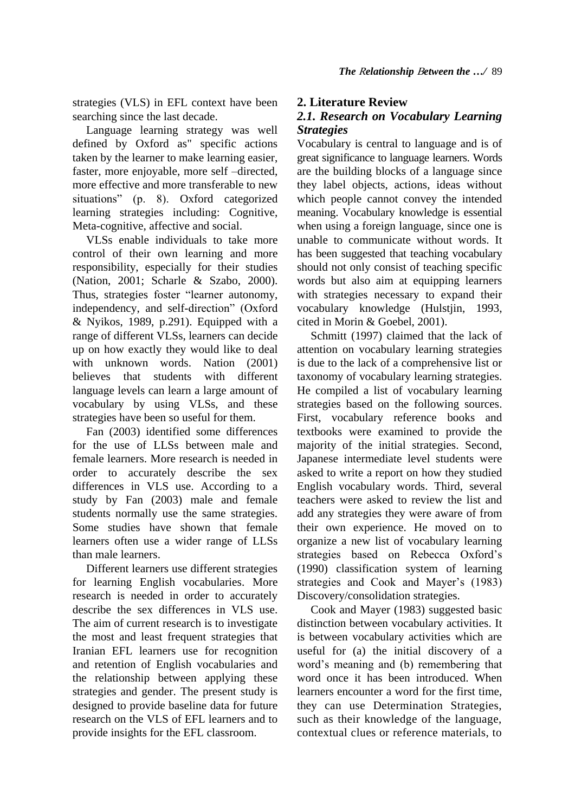strategies (VLS) in EFL context have been searching since the last decade.

 Language learning strategy was well defined by Oxford as" specific actions taken by the learner to make learning easier, faster, more enjoyable, more self –directed, more effective and more transferable to new situations" (p. 8). Oxford categorized learning strategies including: Cognitive, Meta-cognitive, affective and social.

 VLSs enable individuals to take more control of their own learning and more responsibility, especially for their studies (Nation, 2001; Scharle & Szabo, 2000). Thus, strategies foster "learner autonomy, independency, and self-direction" (Oxford & Nyikos, 1989, p.291). Equipped with a range of different VLSs, learners can decide up on how exactly they would like to deal with unknown words. Nation (2001) believes that students with different language levels can learn a large amount of vocabulary by using VLSs, and these strategies have been so useful for them.

 Fan (2003) identified some differences for the use of LLSs between male and female learners. More research is needed in order to accurately describe the sex differences in VLS use. According to a study by Fan (2003) male and female students normally use the same strategies. Some studies have shown that female learners often use a wider range of LLSs than male learners.

 Different learners use different strategies for learning English vocabularies. More research is needed in order to accurately describe the sex differences in VLS use. The aim of current research is to investigate the most and least frequent strategies that Iranian EFL learners use for recognition and retention of English vocabularies and the relationship between applying these strategies and gender. The present study is designed to provide baseline data for future research on the VLS of EFL learners and to provide insights for the EFL classroom.

# **2. Literature Review**

# *2.1. Research on Vocabulary Learning Strategies*

Vocabulary is central to language and is of great significance to language learners. Words are the building blocks of a language since they label objects, actions, ideas without which people cannot convey the intended meaning. Vocabulary knowledge is essential when using a foreign language, since one is unable to communicate without words. It has been suggested that teaching vocabulary should not only consist of teaching specific words but also aim at equipping learners with strategies necessary to expand their vocabulary knowledge (Hulstjin, 1993, cited in Morin & Goebel, 2001).

 Schmitt (1997) claimed that the lack of attention on vocabulary learning strategies is due to the lack of a comprehensive list or taxonomy of vocabulary learning strategies. He compiled a list of vocabulary learning strategies based on the following sources. First, vocabulary reference books and textbooks were examined to provide the majority of the initial strategies. Second, Japanese intermediate level students were asked to write a report on how they studied English vocabulary words. Third, several teachers were asked to review the list and add any strategies they were aware of from their own experience. He moved on to organize a new list of vocabulary learning strategies based on Rebecca Oxford's (1990) classification system of learning strategies and Cook and Mayer's (1983) Discovery/consolidation strategies.

 Cook and Mayer (1983) suggested basic distinction between vocabulary activities. It is between vocabulary activities which are useful for (a) the initial discovery of a word's meaning and (b) remembering that word once it has been introduced. When learners encounter a word for the first time, they can use Determination Strategies, such as their knowledge of the language, contextual clues or reference materials, to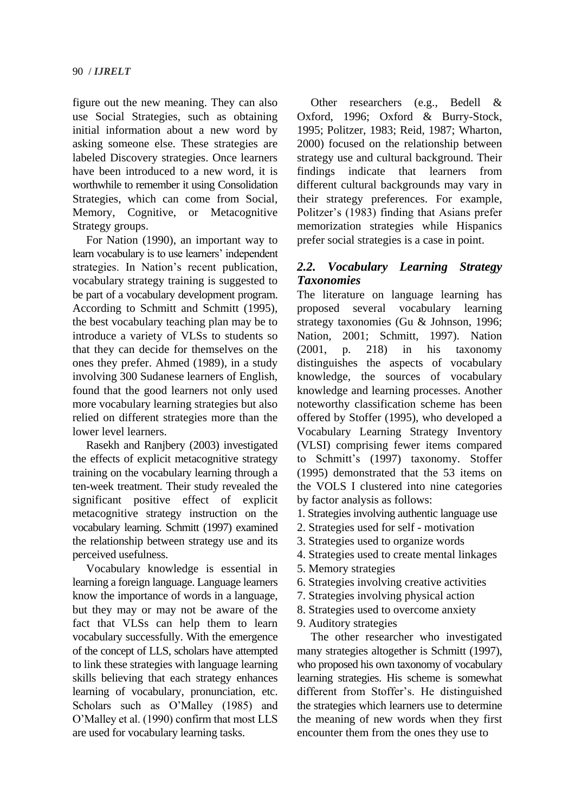figure out the new meaning. They can also use Social Strategies, such as obtaining initial information about a new word by asking someone else. These strategies are labeled Discovery strategies. Once learners have been introduced to a new word, it is worthwhile to remember it using Consolidation Strategies, which can come from Social, Memory, Cognitive, or Metacognitive Strategy groups.

 For Nation (1990), an important way to learn vocabulary is to use learners' independent strategies. In Nation's recent publication, vocabulary strategy training is suggested to be part of a vocabulary development program. According to Schmitt and Schmitt (1995), the best vocabulary teaching plan may be to introduce a variety of VLSs to students so that they can decide for themselves on the ones they prefer. Ahmed (1989), in a study involving 300 Sudanese learners of English, found that the good learners not only used more vocabulary learning strategies but also relied on different strategies more than the lower level learners.

 Rasekh and Ranjbery (2003) investigated the effects of explicit metacognitive strategy training on the vocabulary learning through a ten-week treatment. Their study revealed the significant positive effect of explicit metacognitive strategy instruction on the vocabulary learning. Schmitt (1997) examined the relationship between strategy use and its perceived usefulness.

 Vocabulary knowledge is essential in learning a foreign language. Language learners know the importance of words in a language, but they may or may not be aware of the fact that VLSs can help them to learn vocabulary successfully. With the emergence of the concept of LLS, scholars have attempted to link these strategies with language learning skills believing that each strategy enhances learning of vocabulary, pronunciation, etc. Scholars such as O'Malley (1985) and O'Malley et al. (1990) confirm that most LLS are used for vocabulary learning tasks.

 Other researchers (e.g., Bedell & Oxford, 1996; Oxford & Burry-Stock, 1995; Politzer, 1983; Reid, 1987; Wharton, 2000) focused on the relationship between strategy use and cultural background. Their findings indicate that learners from different cultural backgrounds may vary in their strategy preferences. For example, Politzer's (1983) finding that Asians prefer memorization strategies while Hispanics prefer social strategies is a case in point.

# *2.2. Vocabulary Learning Strategy Taxonomies*

The literature on language learning has proposed several vocabulary learning strategy taxonomies (Gu & Johnson, 1996; Nation, 2001; Schmitt, 1997). Nation (2001, p. 218) in his taxonomy distinguishes the aspects of vocabulary knowledge, the sources of vocabulary knowledge and learning processes. Another noteworthy classification scheme has been offered by Stoffer (1995), who developed a Vocabulary Learning Strategy Inventory (VLSI) comprising fewer items compared to Schmitt's (1997) taxonomy. Stoffer (1995) demonstrated that the 53 items on the VOLS I clustered into nine categories by factor analysis as follows:

1. Strategies involving authentic language use

- 2. Strategies used for self motivation
- 3. Strategies used to organize words
- 4. Strategies used to create mental linkages
- 5. Memory strategies
- 6. Strategies involving creative activities
- 7. Strategies involving physical action
- 8. Strategies used to overcome anxiety
- 9. Auditory strategies

 The other researcher who investigated many strategies altogether is Schmitt (1997), who proposed his own taxonomy of vocabulary learning strategies. His scheme is somewhat different from Stoffer's. He distinguished the strategies which learners use to determine the meaning of new words when they first encounter them from the ones they use to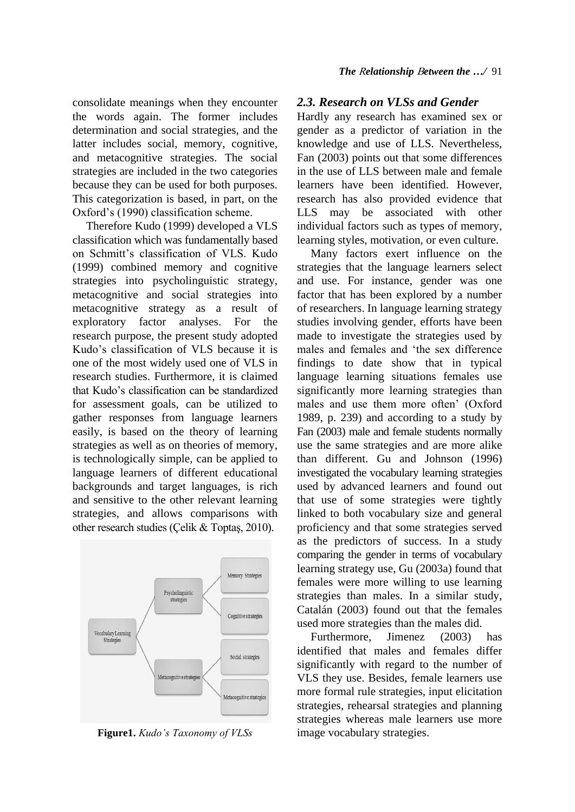consolidate meanings when they encounter the words again. The former includes determination and social strategies, and the latter includes social, memory, cognitive, and metacognitive strategies. The social strategies are included in the two categories because they can be used for both purposes. This categorization is based, in part, on the Oxford's (1990) classification scheme.

 Therefore Kudo (1999) developed a VLS classification which was fundamentally based on Schmitt's classification of VLS. Kudo (1999) combined memory and cognitive strategies into psycholinguistic strategy, metacognitive and social strategies into metacognitive strategy as a result of exploratory factor analyses. For the research purpose, the present study adopted Kudo's classification of VLS because it is one of the most widely used one of VLS in research studies. Furthermore, it is claimed that Kudo's classification can be standardized for assessment goals, can be utilized to gather responses from language learners easily, is based on the theory of learning strategies as well as on theories of memory, is technologically simple, can be applied to language learners of different educational backgrounds and target languages, is rich and sensitive to the other relevant learning strategies, and allows comparisons with other research studies (Çelik & Toptaş, 2010).



**Figure1.** *Kudo's Taxonomy of VLSs*

#### *2.3. Research on VLSs and Gender*

Hardly any research has examined sex or gender as a predictor of variation in the knowledge and use of LLS. Nevertheless, Fan (2003) points out that some differences in the use of LLS between male and female learners have been identified. However, research has also provided evidence that LLS may be associated with other individual factors such as types of memory, learning styles, motivation, or even culture.

 Many factors exert influence on the strategies that the language learners select and use. For instance, gender was one factor that has been explored by a number of researchers. In language learning strategy studies involving gender, efforts have been made to investigate the strategies used by males and females and 'the sex difference findings to date show that in typical language learning situations females use significantly more learning strategies than males and use them more often' (Oxford 1989, p. 239) and according to a study by Fan (2003) male and female students normally use the same strategies and are more alike than different. Gu and Johnson (1996) investigated the vocabulary learning strategies used by advanced learners and found out that use of some strategies were tightly linked to both vocabulary size and general proficiency and that some strategies served as the predictors of success. In a study comparing the gender in terms of vocabulary learning strategy use, Gu (2003a) found that females were more willing to use learning strategies than males. In a similar study, Catalán (2003) found out that the females used more strategies than the males did.

 Furthermore, Jimenez (2003) has identified that males and females differ significantly with regard to the number of VLS they use. Besides, female learners use more formal rule strategies, input elicitation strategies, rehearsal strategies and planning strategies whereas male learners use more image vocabulary strategies.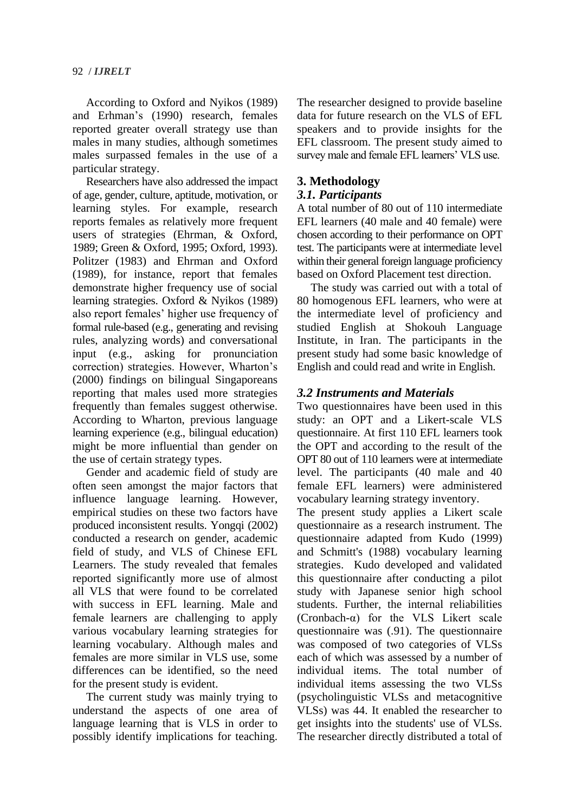According to Oxford and Nyikos (1989) and Erhman's (1990) research, females reported greater overall strategy use than males in many studies, although sometimes males surpassed females in the use of a particular strategy.

 Researchers have also addressed the impact of age, gender, culture, aptitude, motivation, or learning styles. For example, research reports females as relatively more frequent users of strategies (Ehrman, & Oxford, 1989; Green & Oxford, 1995; Oxford, 1993). Politzer (1983) and Ehrman and Oxford (1989), for instance, report that females demonstrate higher frequency use of social learning strategies. Oxford & Nyikos (1989) also report females' higher use frequency of formal rule-based (e.g., generating and revising rules, analyzing words) and conversational input (e.g., asking for pronunciation correction) strategies. However, Wharton's (2000) findings on bilingual Singaporeans reporting that males used more strategies frequently than females suggest otherwise. According to Wharton, previous language learning experience (e.g., bilingual education) might be more influential than gender on the use of certain strategy types.

 Gender and academic field of study are often seen amongst the major factors that influence language learning. However, empirical studies on these two factors have produced inconsistent results. Yongqi (2002) conducted a research on gender, academic field of study, and VLS of Chinese EFL Learners. The study revealed that females reported significantly more use of almost all VLS that were found to be correlated with success in EFL learning. Male and female learners are challenging to apply various vocabulary learning strategies for learning vocabulary. Although males and females are more similar in VLS use, some differences can be identified, so the need for the present study is evident.

The current study was mainly trying to understand the aspects of one area of language learning that is VLS in order to possibly identify implications for teaching.

The researcher designed to provide baseline data for future research on the VLS of EFL speakers and to provide insights for the EFL classroom. The present study aimed to survey male and female EFL learners' VLS use.

## **3. Methodology**

#### *3.1. Participants*

A total number of 80 out of 110 intermediate EFL learners (40 male and 40 female) were chosen according to their performance on OPT test. The participants were at intermediate level within their general foreign language proficiency based on Oxford Placement test direction.

 The study was carried out with a total of 80 homogenous EFL learners, who were at the intermediate level of proficiency and studied English at Shokouh Language Institute, in Iran. The participants in the present study had some basic knowledge of English and could read and write in English.

## *3.2 Instruments and Materials*

Two questionnaires have been used in this study: an OPT and a Likert-scale VLS questionnaire. At first 110 EFL learners took the OPT and according to the result of the OPT 80 out of 110 learners were at intermediate level. The participants (40 male and 40 female EFL learners) were administered vocabulary learning strategy inventory.

The present study applies a Likert scale questionnaire as a research instrument. The questionnaire adapted from Kudo (1999) and Schmitt's (1988) vocabulary learning strategies. Kudo developed and validated this questionnaire after conducting a pilot study with Japanese senior high school students. Further, the internal reliabilities (Cronbach-α) for the VLS Likert scale questionnaire was (.91). The questionnaire was composed of two categories of VLSs each of which was assessed by a number of individual items. The total number of individual items assessing the two VLSs (psycholinguistic VLSs and metacognitive VLSs) was 44. It enabled the researcher to get insights into the students' use of VLSs. The researcher directly distributed a total of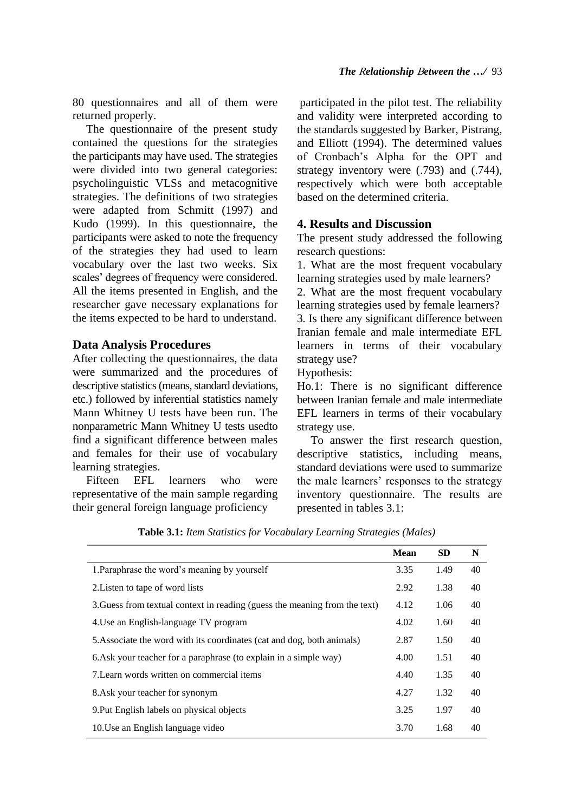80 questionnaires and all of them were returned properly.

 The questionnaire of the present study contained the questions for the strategies the participants may have used. The strategies were divided into two general categories: psycholinguistic VLSs and metacognitive strategies. The definitions of two strategies were adapted from Schmitt (1997) and Kudo (1999). In this questionnaire, the participants were asked to note the frequency of the strategies they had used to learn vocabulary over the last two weeks. Six scales' degrees of frequency were considered. All the items presented in English, and the researcher gave necessary explanations for the items expected to be hard to understand.

#### **Data Analysis Procedures**

After collecting the questionnaires, the data were summarized and the procedures of descriptive statistics (means, standard deviations, etc.) followed by inferential statistics namely Mann Whitney U tests have been run. The nonparametric Mann Whitney U tests usedto find a significant difference between males and females for their use of vocabulary learning strategies.

 Fifteen EFL learners who were representative of the main sample regarding their general foreign language proficiency

participated in the pilot test. The reliability and validity were interpreted according to the standards suggested by Barker, Pistrang, and Elliott (1994). The determined values of Cronbach's Alpha for the OPT and strategy inventory were (.793) and (.744), respectively which were both acceptable based on the determined criteria.

## **4. Results and Discussion**

The present study addressed the following research questions:

1. What are the most frequent vocabulary learning strategies used by male learners?

2. What are the most frequent vocabulary learning strategies used by female learners? 3. Is there any significant difference between Iranian female and male intermediate EFL learners in terms of their vocabulary strategy use?

Hypothesis:

Ho.1: There is no significant difference between Iranian female and male intermediate EFL learners in terms of their vocabulary strategy use.

To answer the first research question, descriptive statistics, including means, standard deviations were used to summarize the male learners' responses to the strategy inventory questionnaire. The results are presented in tables 3.1:

|                                                                            | <b>Mean</b> | <b>SD</b> | N  |
|----------------------------------------------------------------------------|-------------|-----------|----|
| 1. Paraphrase the word's meaning by yourself                               | 3.35        | 1.49      | 40 |
| 2. Listen to tape of word lists                                            | 2.92        | 1.38      | 40 |
| 3. Guess from textual context in reading (guess the meaning from the text) | 4.12        | 1.06      | 40 |
| 4. Use an English-language TV program                                      | 4.02        | 1.60      | 40 |
| 5. Associate the word with its coordinates (cat and dog, both animals)     | 2.87        | 1.50      | 40 |
| 6. Ask your teacher for a paraphrase (to explain in a simple way)          | 4.00        | 1.51      | 40 |
| 7. Learn words written on commercial items                                 | 4.40        | 1.35      | 40 |
| 8. Ask your teacher for synonym                                            | 4.27        | 1.32      | 40 |
| 9. Put English labels on physical objects                                  | 3.25        | 1.97      | 40 |
| 10. Use an English language video                                          | 3.70        | 1.68      | 40 |

**Table 3.1:** *Item Statistics for Vocabulary Learning Strategies (Males)*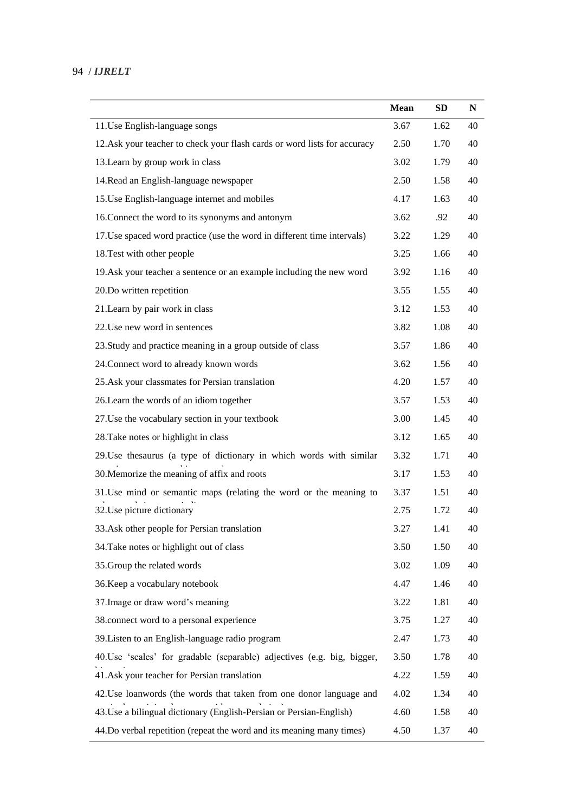## 94 / *IJRELT*

|                                                                          | <b>Mean</b> | <b>SD</b> | N  |
|--------------------------------------------------------------------------|-------------|-----------|----|
| 11. Use English-language songs                                           | 3.67        | 1.62      | 40 |
| 12.Ask your teacher to check your flash cards or word lists for accuracy | 2.50        | 1.70      | 40 |
| 13. Learn by group work in class                                         | 3.02        | 1.79      | 40 |
| 14. Read an English-language newspaper                                   | 2.50        | 1.58      | 40 |
| 15. Use English-language internet and mobiles                            | 4.17        | 1.63      | 40 |
| 16. Connect the word to its synonyms and antonym                         | 3.62        | .92       | 40 |
| 17. Use spaced word practice (use the word in different time intervals)  | 3.22        | 1.29      | 40 |
| 18. Test with other people                                               | 3.25        | 1.66      | 40 |
| 19. Ask your teacher a sentence or an example including the new word     | 3.92        | 1.16      | 40 |
| 20.Do written repetition                                                 | 3.55        | 1.55      | 40 |
| 21. Learn by pair work in class                                          | 3.12        | 1.53      | 40 |
| 22. Use new word in sentences                                            | 3.82        | 1.08      | 40 |
| 23. Study and practice meaning in a group outside of class               | 3.57        | 1.86      | 40 |
| 24. Connect word to already known words                                  | 3.62        | 1.56      | 40 |
| 25. Ask your classmates for Persian translation                          | 4.20        | 1.57      | 40 |
| 26. Learn the words of an idiom together                                 | 3.57        | 1.53      | 40 |
| 27. Use the vocabulary section in your textbook                          | 3.00        | 1.45      | 40 |
| 28. Take notes or highlight in class                                     | 3.12        | 1.65      | 40 |
| 29. Use thesaurus (a type of dictionary in which words with similar      | 3.32        | 1.71      | 40 |
| 30. Memorize the meaning of affix and roots                              | 3.17        | 1.53      | 40 |
| 31. Use mind or semantic maps (relating the word or the meaning to       | 3.37        | 1.51      | 40 |
| 32. Use picture dictionary                                               | 2.75        | 1.72      | 40 |
| 33. Ask other people for Persian translation                             | 3.27        | 1.41      | 40 |
| 34. Take notes or highlight out of class                                 | 3.50        | 1.50      | 40 |
| 35. Group the related words                                              | 3.02        | 1.09      | 40 |
| 36. Keep a vocabulary notebook                                           | 4.47        | 1.46      | 40 |
| 37. Image or draw word's meaning                                         | 3.22        | 1.81      | 40 |
| 38.connect word to a personal experience                                 | 3.75        | 1.27      | 40 |
| 39. Listen to an English-language radio program                          | 2.47        | 1.73      | 40 |
| 40. Use 'scales' for gradable (separable) adjectives (e.g. big, bigger,  | 3.50        | 1.78      | 40 |
| 41. Ask your teacher for Persian translation                             | 4.22        | 1.59      | 40 |
| 42. Use loanwords (the words that taken from one donor language and      | 4.02        | 1.34      | 40 |
| 43. Use a bilingual dictionary (English-Persian or Persian-English)      | 4.60        | 1.58      | 40 |
| 44. Do verbal repetition (repeat the word and its meaning many times)    | 4.50        | 1.37      | 40 |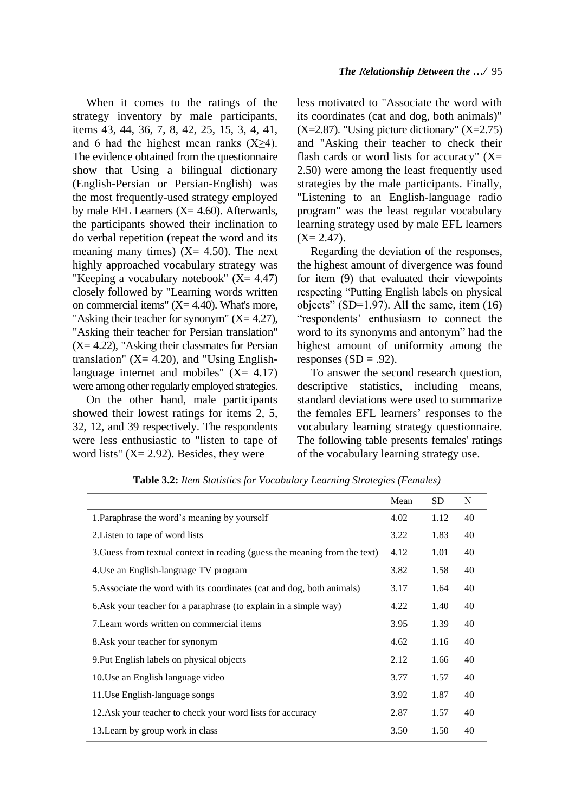When it comes to the ratings of the strategy inventory by male participants, items 43, 44, 36, 7, 8, 42, 25, 15, 3, 4, 41, and 6 had the highest mean ranks  $(X>4)$ . The evidence obtained from the questionnaire show that Using a bilingual dictionary (English-Persian or Persian-English) was the most frequently-used strategy employed by male EFL Learners  $(X = 4.60)$ . Afterwards, the participants showed their inclination to do verbal repetition (repeat the word and its meaning many times)  $(X = 4.50)$ . The next highly approached vocabulary strategy was "Keeping a vocabulary notebook"  $(X = 4.47)$ closely followed by "Learning words written on commercial items"  $(X=4.40)$ . What's more, "Asking their teacher for synonym"  $(X= 4.27)$ , "Asking their teacher for Persian translation"  $(X= 4.22)$ , "Asking their classmates for Persian translation" ( $X = 4.20$ ), and "Using Englishlanguage internet and mobiles"  $(X = 4.17)$ were among other regularly employed strategies.

 On the other hand, male participants showed their lowest ratings for items 2, 5, 32, 12, and 39 respectively. The respondents were less enthusiastic to "listen to tape of word lists"  $(X = 2.92)$ . Besides, they were

less motivated to "Associate the word with its coordinates (cat and dog, both animals)"  $(X=2.87)$ . "Using picture dictionary"  $(X=2.75)$ and "Asking their teacher to check their flash cards or word lists for accuracy"  $(X=$ 2.50) were among the least frequently used strategies by the male participants. Finally, "Listening to an English-language radio program" was the least regular vocabulary learning strategy used by male EFL learners  $(X= 2.47)$ .

 Regarding the deviation of the responses, the highest amount of divergence was found for item (9) that evaluated their viewpoints respecting "Putting English labels on physical objects" (SD=1.97). All the same, item (16) "respondents' enthusiasm to connect the word to its synonyms and antonym" had the highest amount of uniformity among the responses  $(SD = .92)$ .

To answer the second research question, descriptive statistics, including means, standard deviations were used to summarize the females EFL learners' responses to the vocabulary learning strategy questionnaire. The following table presents females' ratings of the vocabulary learning strategy use.

|                                                                            | Mean | <b>SD</b> | N  |
|----------------------------------------------------------------------------|------|-----------|----|
| 1. Paraphrase the word's meaning by yourself                               | 4.02 | 1.12      | 40 |
| 2. Listen to tape of word lists                                            | 3.22 | 1.83      | 40 |
| 3. Guess from textual context in reading (guess the meaning from the text) | 4.12 | 1.01      | 40 |
| 4. Use an English-language TV program                                      | 3.82 | 1.58      | 40 |
| 5. Associate the word with its coordinates (cat and dog, both animals)     | 3.17 | 1.64      | 40 |
| 6. Ask your teacher for a paraphrase (to explain in a simple way)          |      | 1.40      | 40 |
| 7. Learn words written on commercial items                                 |      | 1.39      | 40 |
| 8. Ask your teacher for synonym                                            | 4.62 | 1.16      | 40 |
| 9. Put English labels on physical objects                                  | 2.12 | 1.66      | 40 |
| 10. Use an English language video                                          | 3.77 | 1.57      | 40 |
| 11. Use English-language songs                                             | 3.92 | 1.87      | 40 |
| 12.Ask your teacher to check your word lists for accuracy                  | 2.87 | 1.57      | 40 |
| 13. Learn by group work in class                                           | 3.50 | 1.50      | 40 |

**Table 3.2:** *Item Statistics for Vocabulary Learning Strategies (Females)*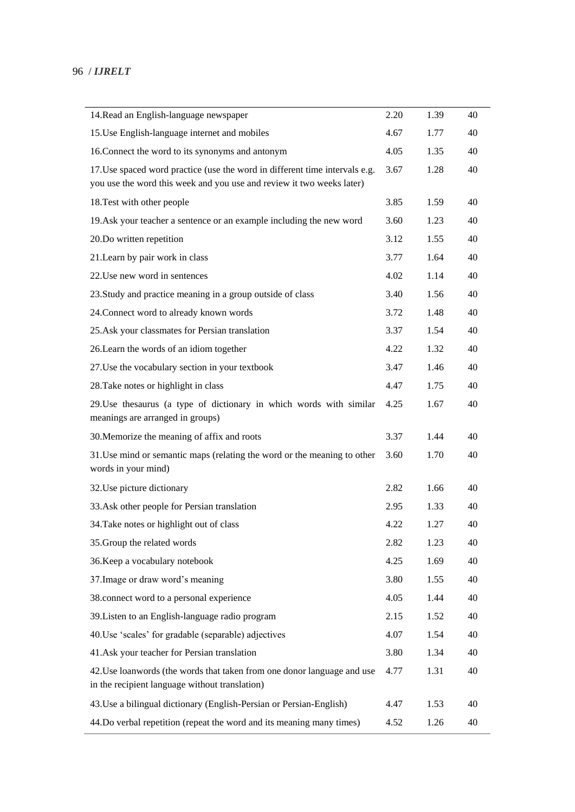| 14. Read an English-language newspaper                                                                                                               | 2.20 | 1.39 | 40 |
|------------------------------------------------------------------------------------------------------------------------------------------------------|------|------|----|
| 15. Use English-language internet and mobiles                                                                                                        | 4.67 | 1.77 | 40 |
| 16. Connect the word to its synonyms and antonym                                                                                                     | 4.05 | 1.35 | 40 |
| 17. Use spaced word practice (use the word in different time intervals e.g.<br>you use the word this week and you use and review it two weeks later) | 3.67 | 1.28 | 40 |
| 18. Test with other people                                                                                                                           | 3.85 | 1.59 | 40 |
| 19. Ask your teacher a sentence or an example including the new word                                                                                 | 3.60 | 1.23 | 40 |
| 20.Do written repetition                                                                                                                             | 3.12 | 1.55 | 40 |
| 21. Learn by pair work in class                                                                                                                      | 3.77 | 1.64 | 40 |
| 22. Use new word in sentences                                                                                                                        | 4.02 | 1.14 | 40 |
| 23. Study and practice meaning in a group outside of class                                                                                           | 3.40 | 1.56 | 40 |
| 24. Connect word to already known words                                                                                                              | 3.72 | 1.48 | 40 |
| 25. Ask your classmates for Persian translation                                                                                                      | 3.37 | 1.54 | 40 |
| 26. Learn the words of an idiom together                                                                                                             | 4.22 | 1.32 | 40 |
| 27. Use the vocabulary section in your textbook                                                                                                      | 3.47 | 1.46 | 40 |
| 28. Take notes or highlight in class                                                                                                                 | 4.47 | 1.75 | 40 |
| 29. Use the saurus (a type of dictionary in which words with similar<br>meanings are arranged in groups)                                             | 4.25 | 1.67 | 40 |
| 30. Memorize the meaning of affix and roots                                                                                                          | 3.37 | 1.44 | 40 |
| 31. Use mind or semantic maps (relating the word or the meaning to other<br>words in your mind)                                                      | 3.60 | 1.70 | 40 |
| 32. Use picture dictionary                                                                                                                           | 2.82 | 1.66 | 40 |
| 33. Ask other people for Persian translation                                                                                                         | 2.95 | 1.33 | 40 |
| 34. Take notes or highlight out of class                                                                                                             | 4.22 | 1.27 | 40 |
| 35. Group the related words                                                                                                                          | 2.82 | 1.23 | 40 |
| 36. Keep a vocabulary notebook                                                                                                                       | 4.25 | 1.69 | 40 |
| 37. Image or draw word's meaning                                                                                                                     | 3.80 | 1.55 | 40 |
| 38.connect word to a personal experience                                                                                                             | 4.05 | 1.44 | 40 |
| 39. Listen to an English-language radio program                                                                                                      | 2.15 | 1.52 | 40 |
| 40. Use 'scales' for gradable (separable) adjectives                                                                                                 | 4.07 | 1.54 | 40 |
| 41. Ask your teacher for Persian translation                                                                                                         | 3.80 | 1.34 | 40 |
| 42. Use loanwords (the words that taken from one donor language and use<br>in the recipient language without translation)                            | 4.77 | 1.31 | 40 |
| 43. Use a bilingual dictionary (English-Persian or Persian-English)                                                                                  | 4.47 | 1.53 | 40 |
| 44. Do verbal repetition (repeat the word and its meaning many times)                                                                                | 4.52 | 1.26 | 40 |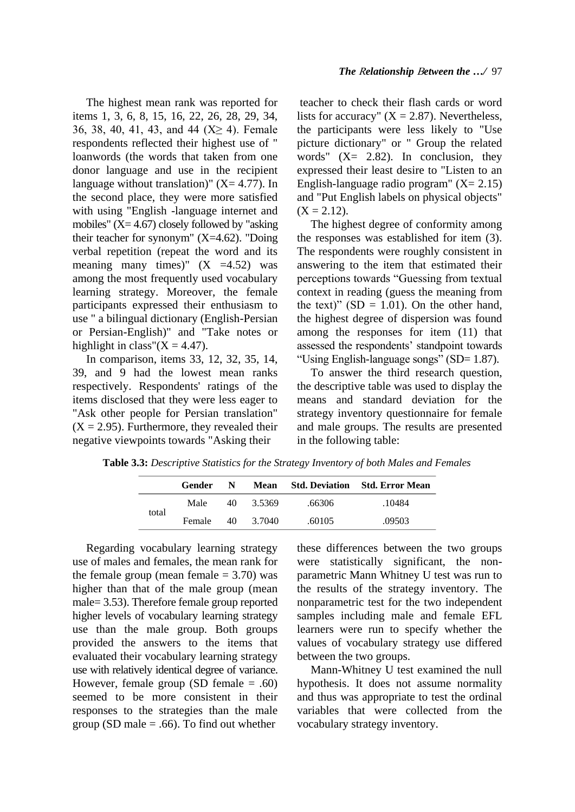The highest mean rank was reported for items 1, 3, 6, 8, 15, 16, 22, 26, 28, 29, 34, 36, 38, 40, 41, 43, and 44  $(X \ge 4)$ . Female respondents reflected their highest use of " loanwords (the words that taken from one donor language and use in the recipient language without translation)"  $(X= 4.77)$ . In the second place, they were more satisfied with using "English -language internet and mobiles"  $(X= 4.67)$  closely followed by "asking" their teacher for synonym"  $(X=4.62)$ . "Doing verbal repetition (repeat the word and its meaning many times)"  $(X = 4.52)$  was among the most frequently used vocabulary learning strategy. Moreover, the female participants expressed their enthusiasm to use " a bilingual dictionary (English-Persian or Persian-English)" and "Take notes or highlight in class" $(X = 4.47)$ .

 In comparison, items 33, 12, 32, 35, 14, 39, and 9 had the lowest mean ranks respectively. Respondents' ratings of the items disclosed that they were less eager to "Ask other people for Persian translation"  $(X = 2.95)$ . Furthermore, they revealed their negative viewpoints towards "Asking their

teacher to check their flash cards or word lists for accuracy"  $(X = 2.87)$ . Nevertheless, the participants were less likely to "Use picture dictionary" or " Group the related words"  $(X= 2.82)$ . In conclusion, they expressed their least desire to "Listen to an English-language radio program"  $(X = 2.15)$ and "Put English labels on physical objects"  $(X = 2.12)$ .

 The highest degree of conformity among the responses was established for item (3). The respondents were roughly consistent in answering to the item that estimated their perceptions towards "Guessing from textual context in reading (guess the meaning from the text)"  $(SD = 1.01)$ . On the other hand, the highest degree of dispersion was found among the responses for item (11) that assessed the respondents' standpoint towards "Using English-language songs" (SD= 1.87).

To answer the third research question, the descriptive table was used to display the means and standard deviation for the strategy inventory questionnaire for female and male groups. The results are presented in the following table:

|       | Gender | -N- | Mean   |        | <b>Std. Deviation</b> Std. Error Mean |
|-------|--------|-----|--------|--------|---------------------------------------|
|       | Male   | 40  | 3.5369 | .66306 | .10484                                |
| total | Female | 40  | 3.7040 | .60105 | .09503                                |

**Table 3.3:** *Descriptive Statistics for the Strategy Inventory of both Males and Females*

 Regarding vocabulary learning strategy use of males and females, the mean rank for the female group (mean female  $= 3.70$ ) was higher than that of the male group (mean male= 3.53). Therefore female group reported higher levels of vocabulary learning strategy use than the male group. Both groups provided the answers to the items that evaluated their vocabulary learning strategy use with relatively identical degree of variance. However, female group (SD female  $= .60$ ) seemed to be more consistent in their responses to the strategies than the male group (SD male  $= .66$ ). To find out whether

these differences between the two groups were statistically significant, the nonparametric Mann Whitney U test was run to the results of the strategy inventory. The nonparametric test for the two independent samples including male and female EFL learners were run to specify whether the values of vocabulary strategy use differed between the two groups.

 Mann-Whitney U test examined the null hypothesis. It does not assume normality and thus was appropriate to test the ordinal variables that were collected from the vocabulary strategy inventory.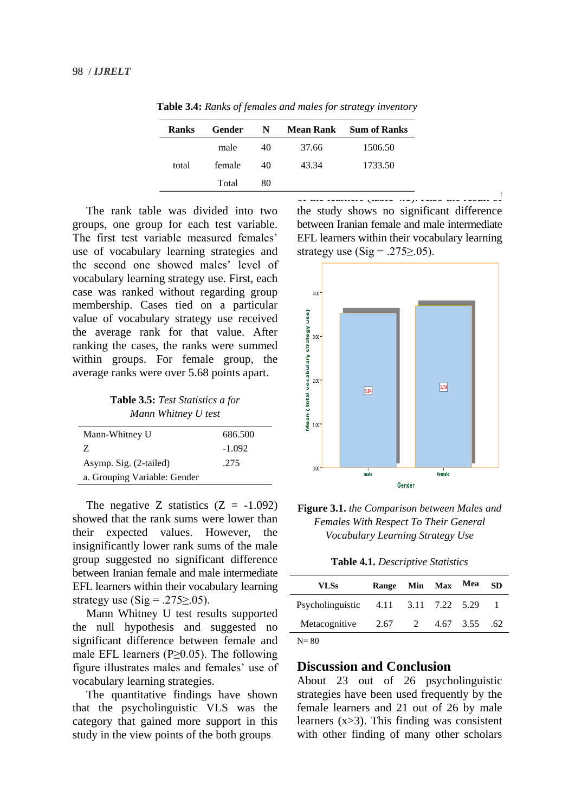| Ranks | Gender | N  | <b>Mean Rank</b> | <b>Sum of Ranks</b> |
|-------|--------|----|------------------|---------------------|
|       | male   | 40 | 37.66            | 1506.50             |
| total | female | 40 | 43.34            | 1733.50             |
|       | Total  | 80 |                  |                     |

**Table 3.4:** *Ranks of females and males for strategy inventory*

 The rank table was divided into two groups, one group for each test variable. The first test variable measured females' use of vocabulary learning strategies and the second one showed males' level of vocabulary learning strategy use. First, each case was ranked without regarding group membership. Cases tied on a particular value of vocabulary strategy use received the average rank for that value. After ranking the cases, the ranks were summed within groups. For female group, the average ranks were over 5.68 points apart.

**Table 3.5:** *Test Statistics a for Mann Whitney U test* 

| Mann-Whitney U               | 686.500  |
|------------------------------|----------|
| Z.                           | $-1.092$ |
| Asymp. Sig. (2-tailed)       | .275     |
| a. Grouping Variable: Gender |          |

The negative Z statistics  $(Z = -1.092)$ showed that the rank sums were lower than their expected values. However, the insignificantly lower rank sums of the male group suggested no significant difference between Iranian female and male intermediate EFL learners within their vocabulary learning strategy use (Sig = .275 $\ge$ .05).

 Mann Whitney U test results supported the null hypothesis and suggested no significant difference between female and male EFL learners (P≥0.05). The following figure illustrates males and females' use of vocabulary learning strategies.

 The quantitative findings have shown that the psycholinguistic VLS was the category that gained more support in this study in the view points of the both groups

of the learners (table 4.1). Also the result of the study shows no significant difference between Iranian female and male intermediate EFL learners within their vocabulary learning strategy use  $(Sig = .275 > .05)$ .



**Figure 3.1.** *the Comparison between Males and Females With Respect To Their General Vocabulary Learning Strategy Use* 

**Table 4.1.** *Descriptive Statistics*

| <b>VLSs</b>                          | Range | Min Max Mea |                 | <b>SD</b> |
|--------------------------------------|-------|-------------|-----------------|-----------|
| Psycholinguistic 4.11 3.11 7.22 5.29 |       |             |                 |           |
| Metacognitive                        | 2.67  |             | 2 4.67 3.55 .62 |           |
| חם זו                                |       |             |                 |           |

 $N = 80$ 

#### **Discussion and Conclusion**

About 23 out of 26 psycholinguistic strategies have been used frequently by the female learners and 21 out of 26 by male learners (x>3). This finding was consistent with other finding of many other scholars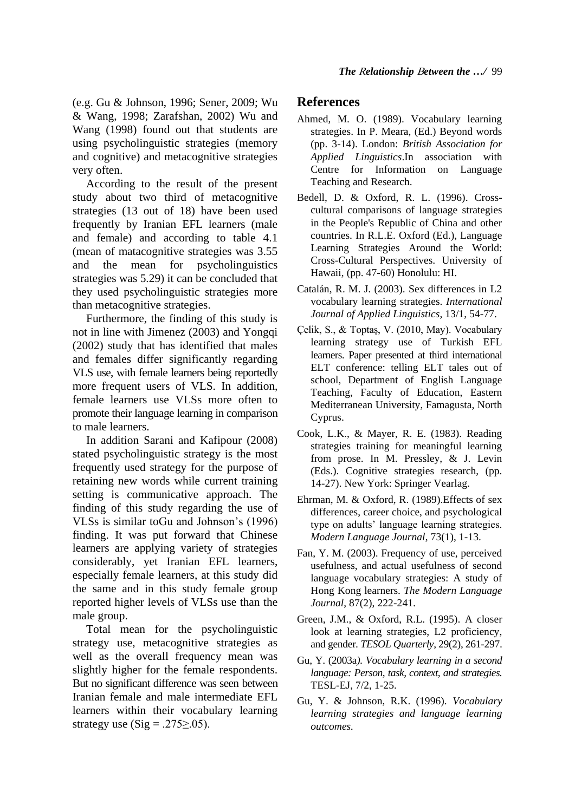(e.g. Gu & Johnson, 1996; Sener, 2009; Wu & Wang, 1998; Zarafshan, 2002) Wu and Wang (1998) found out that students are using psycholinguistic strategies (memory and cognitive) and metacognitive strategies very often.

 According to the result of the present study about two third of metacognitive strategies (13 out of 18) have been used frequently by Iranian EFL learners (male and female) and according to table 4.1 (mean of matacognitive strategies was 3.55 and the mean for psycholinguistics strategies was 5.29) it can be concluded that they used psycholinguistic strategies more than metacognitive strategies.

 Furthermore, the finding of this study is not in line with Jimenez (2003) and Yongqi (2002) study that has identified that males and females differ significantly regarding VLS use, with female learners being reportedly more frequent users of VLS. In addition, female learners use VLSs more often to promote their language learning in comparison to male learners.

 In addition Sarani and Kafipour (2008) stated psycholinguistic strategy is the most frequently used strategy for the purpose of retaining new words while current training setting is communicative approach. The finding of this study regarding the use of VLSs is similar toGu and Johnson's (1996) finding. It was put forward that Chinese learners are applying variety of strategies considerably, yet Iranian EFL learners, especially female learners, at this study did the same and in this study female group reported higher levels of VLSs use than the male group.

 Total mean for the psycholinguistic strategy use, metacognitive strategies as well as the overall frequency mean was slightly higher for the female respondents. But no significant difference was seen between Iranian female and male intermediate EFL learners within their vocabulary learning strategy use  $(Sig = .275 > .05)$ .

## **References**

- Ahmed, M. O. (1989). Vocabulary learning strategies. In P. Meara, (Ed.) Beyond words (pp. 3-14). London: *British Association for Applied Linguistics*.In association with Centre for Information on Language Teaching and Research.
- Bedell, D. & Oxford, R. L. (1996). Crosscultural comparisons of language strategies in the People's Republic of China and other countries. In R.L.E. Oxford (Ed.), Language Learning Strategies Around the World: Cross-Cultural Perspectives. University of Hawaii, (pp. 47-60) Honolulu: HI.
- Catalán, R. M. J. (2003). Sex differences in L2 vocabulary learning strategies. *International Journal of Applied Linguistics*, 13/1, 54-77.
- Çelik, S., & Toptaş, V. (2010, May). Vocabulary learning strategy use of Turkish EFL learners. Paper presented at third international ELT conference: telling ELT tales out of school, Department of English Language Teaching, Faculty of Education, Eastern Mediterranean University, Famagusta, North Cyprus.
- Cook, L.K., & Mayer, R. E. (1983). Reading strategies training for meaningful learning from prose. In M. Pressley, & J. Levin (Eds.). Cognitive strategies research, (pp. 14-27). New York: Springer Vearlag.
- Ehrman, M. & Oxford, R. (1989).Effects of sex differences, career choice, and psychological type on adults' language learning strategies. *Modern Language Journal*, 73(1), 1-13.
- Fan, Y. M. (2003). Frequency of use, perceived usefulness, and actual usefulness of second language vocabulary strategies: A study of Hong Kong learners. *The Modern Language Journal*, 87(2), 222-241.
- Green, J.M., & Oxford, R.L. (1995). A closer look at learning strategies, L2 proficiency, and gender*. TESOL Quarterly*, 29(2), 261-297.
- Gu, Y. (2003a*). Vocabulary learning in a second language: Person, task, context, and strategies.*  TESL-EJ, 7/2, 1-25.
- Gu, Y. & Johnson, R.K. (1996). *Vocabulary learning strategies and language learning outcomes.*